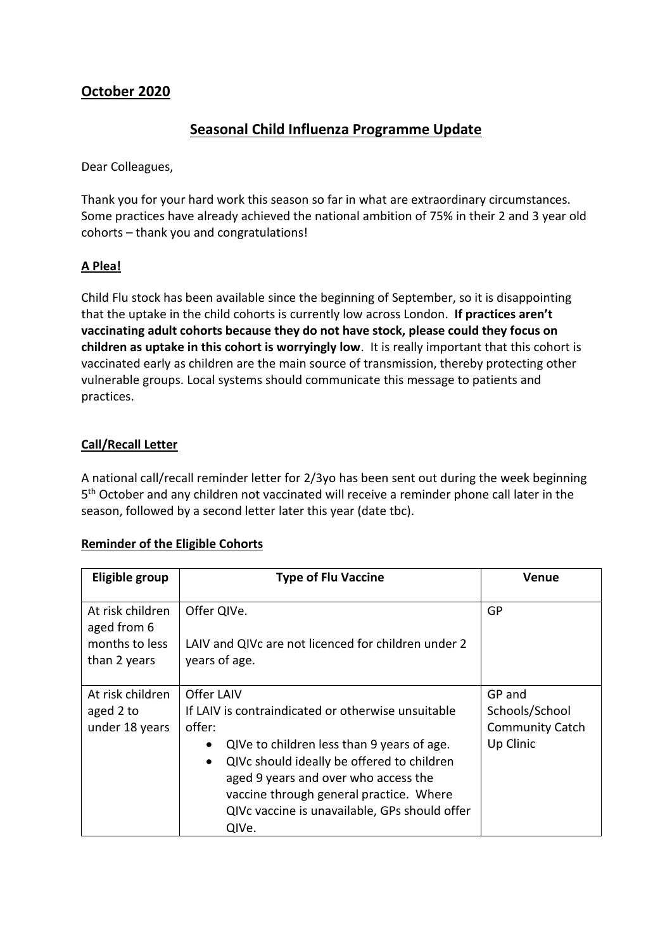# **October 2020**

## **Seasonal Child Influenza Programme Update**

Dear Colleagues,

Thank you for your hard work this season so far in what are extraordinary circumstances. Some practices have already achieved the national ambition of 75% in their 2 and 3 year old cohorts – thank you and congratulations!

## **A Plea!**

Child Flu stock has been available since the beginning of September, so it is disappointing that the uptake in the child cohorts is currently low across London. **If practices aren't vaccinating adult cohorts because they do not have stock, please could they focus on children as uptake in this cohort is worryingly low**. It is really important that this cohort is vaccinated early as children are the main source of transmission, thereby protecting other vulnerable groups. Local systems should communicate this message to patients and practices.

### **Call/Recall Letter**

A national call/recall reminder letter for 2/3yo has been sent out during the week beginning 5<sup>th</sup> October and any children not vaccinated will receive a reminder phone call later in the season, followed by a second letter later this year (date tbc).

#### **Reminder of the Eligible Cohorts**

| Eligible group                                                    | <b>Type of Flu Vaccine</b>                                                                                                                                                                                                                                                                                                                    | Venue                                                           |
|-------------------------------------------------------------------|-----------------------------------------------------------------------------------------------------------------------------------------------------------------------------------------------------------------------------------------------------------------------------------------------------------------------------------------------|-----------------------------------------------------------------|
| At risk children<br>aged from 6<br>months to less<br>than 2 years | Offer QIVe.<br>LAIV and QIVc are not licenced for children under 2<br>years of age.                                                                                                                                                                                                                                                           | GP                                                              |
| At risk children<br>aged 2 to<br>under 18 years                   | Offer LAIV<br>If LAIV is contraindicated or otherwise unsuitable<br>offer:<br>QIVe to children less than 9 years of age.<br>$\bullet$<br>QIVc should ideally be offered to children<br>$\bullet$<br>aged 9 years and over who access the<br>vaccine through general practice. Where<br>QIVc vaccine is unavailable, GPs should offer<br>QIVe. | GP and<br>Schools/School<br><b>Community Catch</b><br>Up Clinic |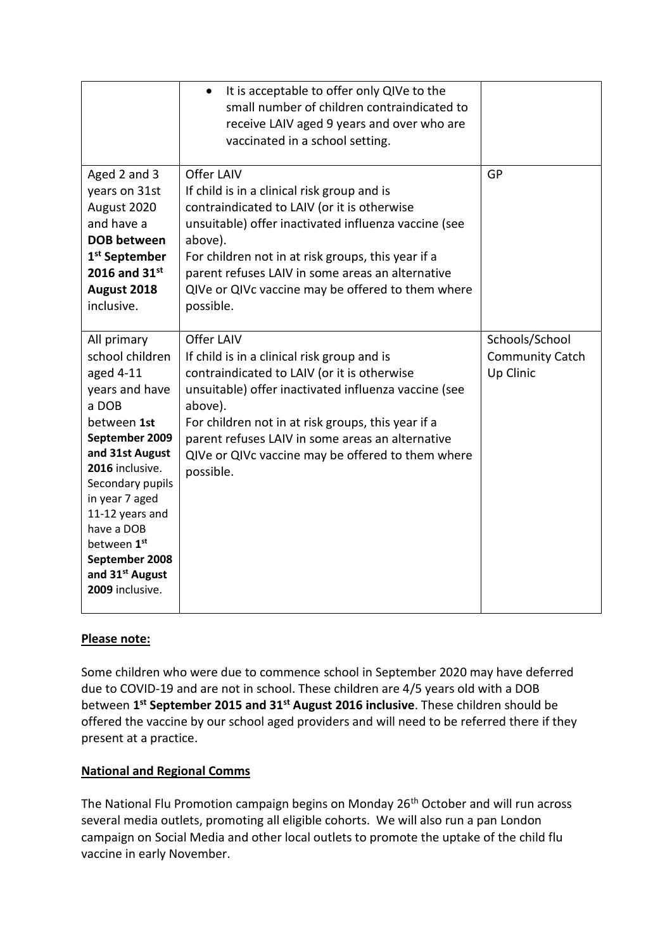|                                                                                                                                                                                                                                                                                                                     | It is acceptable to offer only QIVe to the<br>$\bullet$<br>small number of children contraindicated to<br>receive LAIV aged 9 years and over who are<br>vaccinated in a school setting.                                                                                                                                                                 |                                                       |
|---------------------------------------------------------------------------------------------------------------------------------------------------------------------------------------------------------------------------------------------------------------------------------------------------------------------|---------------------------------------------------------------------------------------------------------------------------------------------------------------------------------------------------------------------------------------------------------------------------------------------------------------------------------------------------------|-------------------------------------------------------|
| Aged 2 and 3<br>years on 31st<br>August 2020<br>and have a<br><b>DOB between</b><br>1 <sup>st</sup> September<br>2016 and $31^{st}$<br>August 2018<br>inclusive.                                                                                                                                                    | Offer LAIV<br>If child is in a clinical risk group and is<br>contraindicated to LAIV (or it is otherwise<br>unsuitable) offer inactivated influenza vaccine (see<br>above).<br>For children not in at risk groups, this year if a<br>parent refuses LAIV in some areas an alternative<br>QIVe or QIVc vaccine may be offered to them where<br>possible. | GP                                                    |
| All primary<br>school children<br>aged 4-11<br>years and have<br>a DOB<br>between 1st<br>September 2009<br>and 31st August<br>2016 inclusive.<br>Secondary pupils<br>in year 7 aged<br>11-12 years and<br>have a DOB<br>between 1 <sup>st</sup><br>September 2008<br>and 31 <sup>st</sup> August<br>2009 inclusive. | Offer LAIV<br>If child is in a clinical risk group and is<br>contraindicated to LAIV (or it is otherwise<br>unsuitable) offer inactivated influenza vaccine (see<br>above).<br>For children not in at risk groups, this year if a<br>parent refuses LAIV in some areas an alternative<br>QIVe or QIVc vaccine may be offered to them where<br>possible. | Schools/School<br><b>Community Catch</b><br>Up Clinic |

## **Please note:**

Some children who were due to commence school in September 2020 may have deferred due to COVID-19 and are not in school. These children are 4/5 years old with a DOB between **1 st September 2015 and 31st August 2016 inclusive**. These children should be offered the vaccine by our school aged providers and will need to be referred there if they present at a practice.

## **National and Regional Comms**

The National Flu Promotion campaign begins on Monday 26<sup>th</sup> October and will run across several media outlets, promoting all eligible cohorts. We will also run a pan London campaign on Social Media and other local outlets to promote the uptake of the child flu vaccine in early November.